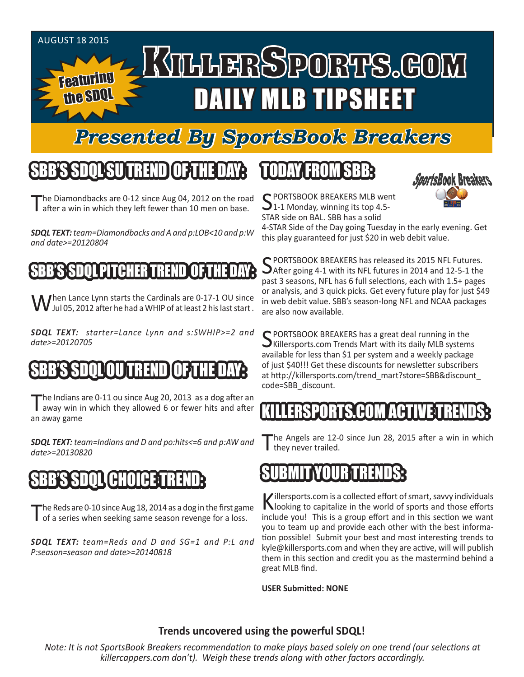#### AUGUST 18 2015

Featuring

the SDQL

# KTLLERSPORTS.GOM DAILY MLB TIPSHEET

#### *Presented By SportsBook Breakers*

#### SBB'S SDQLSU TREND OF THE DAY:

The Diamondbacks are 0-12 since Aug 04, 2012 on the road after a win in which they left fewer than 10 men on base.

*SDQL TEXT: team=Diamondbacks and A and p:LOB<10 and p:W and date>=20120804*

#### BB'S SDOL PITCHER TREND

When Lance Lynn starts the Cardinals are 0-17-1 OU since<br>W Jul 05, 2012 after he had a WHIP of at least 2 his last start.

*SDQL TEXT: starter=Lance Lynn and s:SWHIP>=2 and date>=20120705*

### BB'S SOOL OU TREND

The Indians are 0-11 ou since Aug 20, 2013 as a dog after an away win in which they allowed 6 or fewer hits and after an away game

*SDQL TEXT: team=Indians and D and po:hits<=6 and p:AW and date>=20130820*

### SBB'S SDQL CHOICE TREND:

The Reds are 0-10 since Aug 18, 2014 as a dog in the first game<br>of a series when seeking same season revenge for a loss.

*SDQL TEXT: team=Reds and D and SG=1 and P:L and P:season=season and date>=20140818*

#### TODAY FROM SBB:



C PORTSBOOK BREAKERS MLB went 1-1 Monday, winning its top 4.5-STAR side on BAL. SBB has a solid

4-STAR Side of the Day going Tuesday in the early evening. Get this play guaranteed for just \$20 in web debit value.

C PORTSBOOK BREAKERS has released its 2015 NFL Futures.  $\bigcup$  After going 4-1 with its NFL futures in 2014 and 12-5-1 the past 3 seasons, NFL has 6 full selections, each with 1.5+ pages or analysis, and 3 quick picks. Get every future play for just \$49 in web debit value. SBB's season-long NFL and NCAA packages are also now available.

C PORTSBOOK BREAKERS has a great deal running in the  $\bigcup$ Killersports.com Trends Mart with its daily MLB systems available for less than \$1 per system and a weekly package of just \$40!!! Get these discounts for newsletter subscribers at http://killersports.com/trend\_mart?store=SBB&discount\_ code=SBB\_discount.

#### ERSPORTS.COM ACT

he Angels are 12-0 since Jun 28, 2015 after a win in which they never trailed.



Killersports.com is a collected effort of smart, savvy individuals<br>Nooking to capitalize in the world of sports and those efforts include you! This is a group effort and in this section we want you to team up and provide each other with the best information possible! Submit your best and most interesting trends to kyle@killersports.com and when they are active, will will publish them in this section and credit you as the mastermind behind a great MLB find.

**USER Submitted: NONE**

#### **Trends uncovered using the powerful SDQL!**

*Note: It is not SportsBook Breakers recommendation to make plays based solely on one trend (our selections at killercappers.com don't). Weigh these trends along with other factors accordingly.*